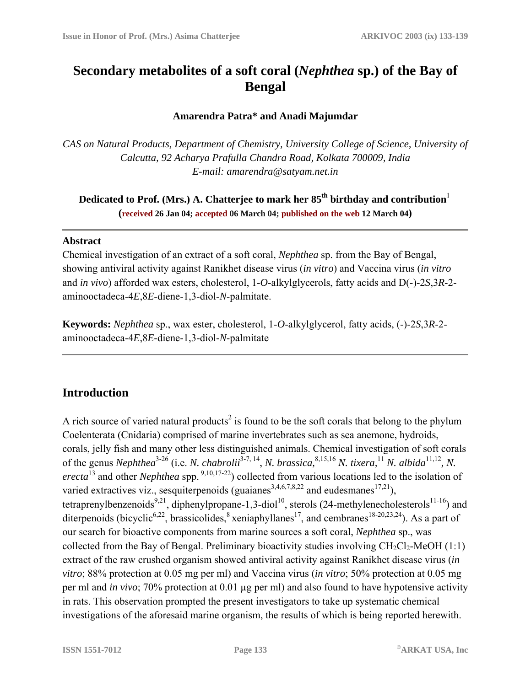# **Secondary metabolites of a soft coral (***Nephthea* **sp.) of the Bay of Bengal**

#### **Amarendra Patra\* and Anadi Majumdar**

*CAS on Natural Products, Department of Chemistry, University College of Science, University of Calcutta, 92 Acharya Prafulla Chandra Road, Kolkata 700009, India E-mail: amarendra@satyam.net.in* 

**Dedicated to Prof. (Mrs.) A. Chatterjee to mark her 85<sup>th</sup> birthday and contribution<sup>1</sup> (received 26 Jan 04; accepted 06 March 04; published on the web 12 March 04)**

#### **Abstract**

Chemical investigation of an extract of a soft coral, *Nephthea* sp. from the Bay of Bengal, showing antiviral activity against Ranikhet disease virus (*in vitro*) and Vaccina virus (*in vitro* and *in vivo*) afforded wax esters, cholesterol, 1-*O*-alkylglycerols, fatty acids and D(-)-2*S*,3*R*-2 aminooctadeca-4*E*,8*E*-diene-1,3-diol-*N*-palmitate.

**Keywords:** *Nephthea* sp., wax ester, cholesterol, 1-*O*-alkylglycerol, fatty acids, (-)-2*S*,3*R*-2 aminooctadeca-4*E*,8*E*-diene-1,3-diol-*N*-palmitate

## **Introduction**

A rich source of varied natural products<sup>2</sup> is found to be the soft corals that belong to the phylum Coelenterata (Cnidaria) comprised of marine invertebrates such as sea anemone, hydroids, corals, jelly fish and many other less distinguished animals. Chemical investigation of soft corals of the genus *Nephthea*<sup>3-26</sup> (i.e. *N. chabrolii*<sup>3-7, 14</sup>, *N. brassica*,<sup>8,15,16</sup> *N. tixera*,<sup>11</sup> *N. albida*<sup>11,12</sup>, *N. erecta*<sup>13</sup> and other *Nephthea* spp.<sup>9,10,17-22</sup>) collected from various locations led to the isolation of varied extractives viz., sesquiterpenoids (guaianes<sup>3,4,6,7,8,22</sup> and eudesmanes<sup>17,21</sup>), tetraprenylbenzenoids<sup>9,21</sup>, diphenylpropane-1,3-diol<sup>10</sup>, sterols (24-methylenecholesterols<sup>11-16</sup>) and diterpenoids (bicyclic<sup>6,22</sup>, brassicolides, <sup>8</sup> xeniaphyllanes<sup>17</sup>, and cembranes<sup>18-20,23,24</sup>). As a part of our search for bioactive components from marine sources a soft coral, *Nephthea* sp., was collected from the Bay of Bengal. Preliminary bioactivity studies involving  $CH_2Cl_2$ -MeOH (1:1) extract of the raw crushed organism showed antiviral activity against Ranikhet disease virus (*in vitro*; 88% protection at 0.05 mg per ml) and Vaccina virus (*in vitro*; 50% protection at 0.05 mg per ml and *in vivo*; 70% protection at 0.01 µg per ml) and also found to have hypotensive activity in rats. This observation prompted the present investigators to take up systematic chemical investigations of the aforesaid marine organism, the results of which is being reported herewith.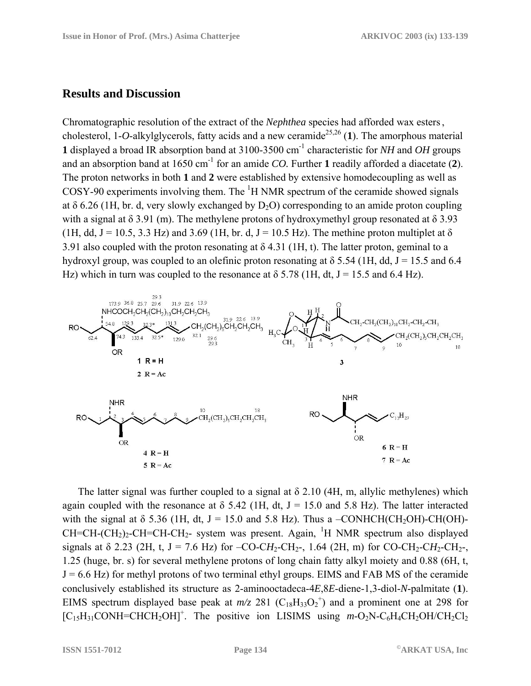### **Results and Discussion**

Chromatographic resolution of the extract of the *Nephthea* species had afforded wax esters, cholesterol, 1-*O*-alkylglycerols, fatty acids and a new ceramide<sup>25,26</sup> (1). The amorphous material **1** displayed a broad IR absorption band at 3100-3500 cm-1 characteristic for *NH* and *OH* groups and an absorption band at 1650 cm-1 for an amide *CO.* Further **1** readily afforded a diacetate (**2**). The proton networks in both **1** and **2** were established by extensive homodecoupling as well as COSY-90 experiments involving them. The  ${}^{1}H$  NMR spectrum of the ceramide showed signals at  $\delta$  6.26 (1H, br. d, very slowly exchanged by D<sub>2</sub>O) corresponding to an amide proton coupling with a signal at  $\delta$  3.91 (m). The methylene protons of hydroxymethyl group resonated at  $\delta$  3.93 (1H, dd, J = 10.5, 3.3 Hz) and 3.69 (1H, br. d, J = 10.5 Hz). The methine proton multiplet at  $\delta$ 3.91 also coupled with the proton resonating at  $\delta$  4.31 (1H, t). The latter proton, geminal to a hydroxyl group, was coupled to an olefinic proton resonating at  $\delta$  5.54 (1H, dd, J = 15.5 and 6.4 Hz) which in turn was coupled to the resonance at  $\delta$  5.78 (1H, dt, J = 15.5 and 6.4 Hz).



The latter signal was further coupled to a signal at  $\delta$  2.10 (4H, m, allylic methylenes) which again coupled with the resonance at  $\delta$  5.42 (1H, dt, J = 15.0 and 5.8 Hz). The latter interacted with the signal at  $\delta$  5.36 (1H, dt, J = 15.0 and 5.8 Hz). Thus a –CONHCH(CH<sub>2</sub>OH)-CH(OH)- $CH=CH-(CH<sub>2</sub>)<sub>2</sub>-CH=CH-CH<sub>2</sub>-$  system was present. Again, <sup>1</sup>H NMR spectrum also displayed signals at  $\delta$  2.23 (2H, t, J = 7.6 Hz) for –CO-CH<sub>2</sub>-CH<sub>2</sub>-, 1.64 (2H, m) for CO-CH<sub>2</sub>-CH<sub>2</sub>-CH<sub>2</sub>-, 1.25 (huge, br. s) for several methylene protons of long chain fatty alkyl moiety and 0.88 (6H, t,  $J = 6.6$  Hz) for methyl protons of two terminal ethyl groups. EIMS and FAB MS of the ceramide conclusively established its structure as 2-aminooctadeca-4*E*,8*E*-diene-1,3-diol-*N*-palmitate (**1**). EIMS spectrum displayed base peak at  $m/z$  281 (C<sub>18</sub>H<sub>33</sub>O<sub>2</sub><sup>+</sup>) and a prominent one at 298 for [C<sub>15</sub>H<sub>31</sub>CONH=CHCH<sub>2</sub>OH]<sup>+</sup>. The positive ion LISIMS using  $m$ -O<sub>2</sub>N-C<sub>6</sub>H<sub>4</sub>CH<sub>2</sub>OH/CH<sub>2</sub>Cl<sub>2</sub>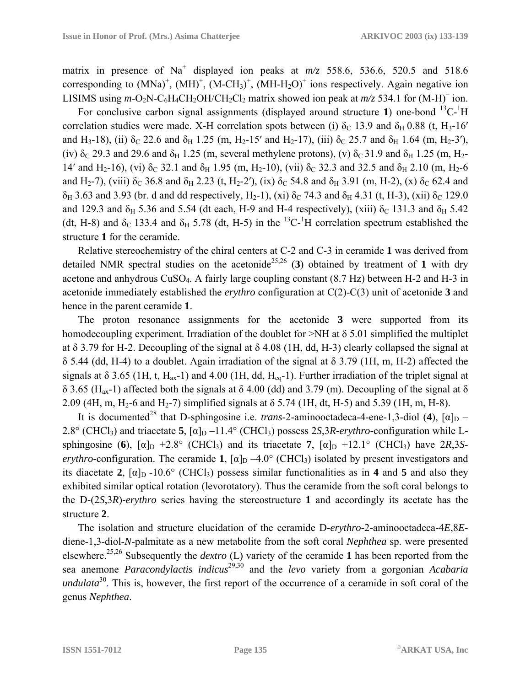matrix in presence of Na<sup>+</sup> displayed ion peaks at  $m/z$  558.6, 536.6, 520.5 and 518.6 corresponding to  $(MNa)^{+}$ ,  $(MH)^{+}$ ,  $(M-CH_3)^{+}$ ,  $(MH-H_2O)^{+}$  ions respectively. Again negative ion LISIMS using  $m$ -O<sub>2</sub>N-C<sub>6</sub>H<sub>4</sub>CH<sub>2</sub>OH/CH<sub>2</sub>Cl<sub>2</sub> matrix showed ion peak at  $m/z$  534.1 for (M-H)<sup>-</sup> ion.

For conclusive carbon signal assignments (displayed around structure 1) one-bond <sup>13</sup>C-<sup>1</sup>H correlation studies were made. X-H correlation spots between (i)  $\delta_c$  13.9 and  $\delta_H$  0.88 (t, H<sub>3</sub>-16' and H<sub>3</sub>-18), (ii)  $\delta_C$  22.6 and  $\delta_H$  1.25 (m, H<sub>2</sub>-15' and H<sub>2</sub>-17), (iii)  $\delta_C$  25.7 and  $\delta_H$  1.64 (m, H<sub>2</sub>-3'), (iv)  $\delta_c$  29.3 and 29.6 and  $\delta_H$  1.25 (m, several methylene protons), (v)  $\delta_c$  31.9 and  $\delta_H$  1.25 (m, H<sub>2</sub>-14' and H<sub>2</sub>-16), (vi)  $\delta$ <sub>C</sub> 32.1 and  $\delta$ <sub>H</sub> 1.95 (m, H<sub>2</sub>-10), (vii)  $\delta$ <sub>C</sub> 32.3 and 32.5 and  $\delta$ <sub>H</sub> 2.10 (m, H<sub>2</sub>-6 and H<sub>2</sub>-7), (viii)  $\delta_c$  36.8 and  $\delta_H$  2.23 (t, H<sub>2</sub>-2'), (ix)  $\delta_c$  54.8 and  $\delta_H$  3.91 (m, H-2), (x)  $\delta_c$  62.4 and  $δ_H$  3.63 and 3.93 (br. d and dd respectively, H<sub>2</sub>-1), (xi)  $δ_C$  74.3 and  $δ_H$  4.31 (t, H-3), (xii)  $δ_C$  129.0 and 129.3 and  $\delta_H$  5.36 and 5.54 (dt each, H-9 and H-4 respectively), (xiii)  $\delta_C$  131.3 and  $\delta_H$  5.42 (dt, H-8) and  $\delta_c$  133.4 and  $\delta_H$  5.78 (dt, H-5) in the <sup>13</sup>C-<sup>1</sup>H correlation spectrum established the structure **1** for the ceramide.

Relative stereochemistry of the chiral centers at C-2 and C-3 in ceramide **1** was derived from detailed NMR spectral studies on the acetonide<sup>25,26</sup> (3) obtained by treatment of 1 with dry acetone and anhydrous CuSO4. A fairly large coupling constant (8.7 Hz) between H-2 and H-3 in acetonide immediately established the *erythro* configuration at C(2)-C(3) unit of acetonide **3** and hence in the parent ceramide **1**.

The proton resonance assignments for the acetonide **3** were supported from its homodecoupling experiment. Irradiation of the doublet for  $\geq$ NH at  $\delta$  5.01 simplified the multiplet at δ 3.79 for H-2. Decoupling of the signal at δ 4.08 (1H, dd, H-3) clearly collapsed the signal at δ 5.44 (dd, H-4) to a doublet. Again irradiation of the signal at δ 3.79 (1H, m, H-2) affected the signals at  $\delta$  3.65 (1H, t, H<sub>ax</sub>-1) and 4.00 (1H, dd, H<sub>eq</sub>-1). Further irradiation of the triplet signal at δ 3.65 (Hax-1) affected both the signals at δ 4.00 (dd) and 3.79 (m). Decoupling of the signal at δ 2.09 (4H, m, H<sub>2</sub>-6 and H<sub>2</sub>-7) simplified signals at  $\delta$  5.74 (1H, dt, H-5) and 5.39 (1H, m, H-8).

It is documented<sup>28</sup> that D-sphingosine i.e. *trans*-2-aminooctadeca-4-ene-1,3-diol (4),  $[\alpha]_D$  – 2.8° (CHCl<sub>3</sub>) and triacetate **5**,  $[\alpha]_D -11.4$ ° (CHCl<sub>3</sub>) possess 2*S*,3*R-erythro-configuration while L*sphingosine (6),  $\lceil \alpha \rceil_D$  +2.8° (CHCl<sub>3</sub>) and its triacetate 7,  $\lceil \alpha \rceil_D$  +12.1° (CHCl<sub>3</sub>) have 2*R*,3*Serythro*-configuration. The ceramide **1**,  $\alpha|_{D} - 4.0^{\circ}$  (CHCl<sub>3</sub>) isolated by present investigators and its diacetate **2**,  $[\alpha]_D$  -10.6° (CHCl<sub>3</sub>) possess similar functionalities as in **4** and **5** and also they exhibited similar optical rotation (levorotatory). Thus the ceramide from the soft coral belongs to the D-(2*S*,3*R*)-*erythro* series having the stereostructure **1** and accordingly its acetate has the structure **2**.

The isolation and structure elucidation of the ceramide D-*erythro*-2-aminooctadeca-4*E*,8*E*diene-1,3-diol-*N*-palmitate as a new metabolite from the soft coral *Nephthea* sp. were presented elsewhere.25,26 Subsequently the *dextro* (L) variety of the ceramide **1** has been reported from the sea anemone *Paracondylactis indicus*29,30 and the *levo* variety from a gorgonian *Acabaria undulata*<sup>30</sup>. This is, however, the first report of the occurrence of a ceramide in soft coral of the genus *Nephthea*.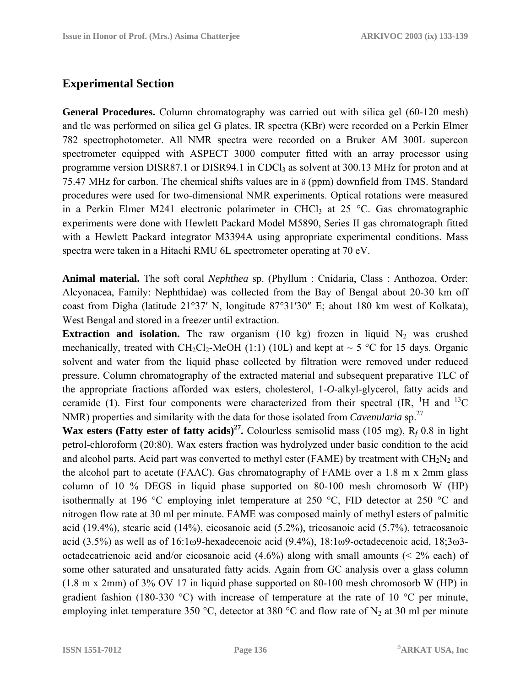## **Experimental Section**

**General Procedures.** Column chromatography was carried out with silica gel (60-120 mesh) and tlc was performed on silica gel G plates. IR spectra (KBr) were recorded on a Perkin Elmer 782 spectrophotometer. All NMR spectra were recorded on a Bruker AM 300L supercon spectrometer equipped with ASPECT 3000 computer fitted with an array processor using programme version DISR87.1 or DISR94.1 in CDCl<sub>3</sub> as solvent at 300.13 MHz for proton and at 75.47 MHz for carbon. The chemical shifts values are in δ (ppm) downfield from TMS. Standard procedures were used for two-dimensional NMR experiments. Optical rotations were measured in a Perkin Elmer M241 electronic polarimeter in CHCl<sub>3</sub> at  $25 \text{ °C}$ . Gas chromatographic experiments were done with Hewlett Packard Model M5890, Series II gas chromatograph fitted with a Hewlett Packard integrator M3394A using appropriate experimental conditions. Mass spectra were taken in a Hitachi RMU 6L spectrometer operating at 70 eV.

**Animal material.** The soft coral *Nephthea* sp. (Phyllum : Cnidaria, Class : Anthozoa, Order: Alcyonacea, Family: Nephthidae) was collected from the Bay of Bengal about 20-30 km off coast from Digha (latitude 21°37′ N, longitude 87°31′30″ E; about 180 km west of Kolkata), West Bengal and stored in a freezer until extraction.

**Extraction and isolation.** The raw organism (10 kg) frozen in liquid  $N_2$  was crushed mechanically, treated with CH<sub>2</sub>Cl<sub>2</sub>-MeOH (1:1) (10L) and kept at  $\sim$  5 °C for 15 days. Organic solvent and water from the liquid phase collected by filtration were removed under reduced pressure. Column chromatography of the extracted material and subsequent preparative TLC of the appropriate fractions afforded wax esters, cholesterol, 1-*O*-alkyl-glycerol, fatty acids and ceramide (1). First four components were characterized from their spectral  $\rm (IR, H and H^3C)$ NMR) properties and similarity with the data for those isolated from *Cavenularia* sp.<sup>27</sup>

**Wax esters (Fatty ester of fatty acids)<sup>27</sup>.** Colourless semisolid mass (105 mg),  $R_f$  0.8 in light petrol-chloroform (20:80). Wax esters fraction was hydrolyzed under basic condition to the acid and alcohol parts. Acid part was converted to methyl ester (FAME) by treatment with  $CH<sub>2</sub>N<sub>2</sub>$  and the alcohol part to acetate (FAAC). Gas chromatography of FAME over a 1.8 m x 2mm glass column of 10 % DEGS in liquid phase supported on 80-100 mesh chromosorb W (HP) isothermally at 196 °C employing inlet temperature at 250 °C, FID detector at 250 °C and nitrogen flow rate at 30 ml per minute. FAME was composed mainly of methyl esters of palmitic acid (19.4%), stearic acid (14%), eicosanoic acid (5.2%), tricosanoic acid (5.7%), tetracosanoic acid (3.5%) as well as of 16:1ω9-hexadecenoic acid (9.4%), 18:1ω9-octadecenoic acid, 18;3ω3 octadecatrienoic acid and/or eicosanoic acid (4.6%) along with small amounts (< 2% each) of some other saturated and unsaturated fatty acids. Again from GC analysis over a glass column (1.8 m x 2mm) of 3% OV 17 in liquid phase supported on 80-100 mesh chromosorb W (HP) in gradient fashion (180-330 °C) with increase of temperature at the rate of 10 °C per minute, employing inlet temperature 350 °C, detector at 380 °C and flow rate of  $N_2$  at 30 ml per minute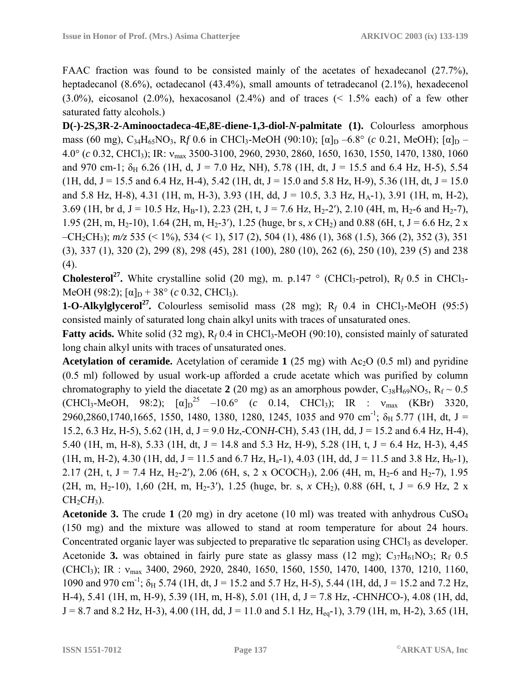FAAC fraction was found to be consisted mainly of the acetates of hexadecanol (27.7%), heptadecanol (8.6%), octadecanol (43.4%), small amounts of tetradecanol (2.1%), hexadecenol  $(3.0\%)$ , eicosanol  $(2.0\%)$ , hexacosanol  $(2.4\%)$  and of traces  $(1.5\%$  each) of a few other saturated fatty alcohols.)

**D(-)-2S,3R-2-Aminooctadeca-4E,8E-diene-1,3-diol-***N***-palmitate (1).** Colourless amorphous mass (60 mg), C<sub>34</sub>H<sub>65</sub>NO<sub>3</sub>, R<sub>f</sub> 0.6 in CHCl<sub>3</sub>-MeOH (90:10);  $\lbrack \alpha \rbrack_{D}$  –6.8° (*c* 0.21, MeOH);  $\lbrack \alpha \rbrack_{D}$  – 4.0° (*c* 0.32, CHCl3); IR: νmax 3500-3100, 2960, 2930, 2860, 1650, 1630, 1550, 1470, 1380, 1060 and 970 cm-1;  $\delta_H$  6.26 (1H, d, J = 7.0 Hz, NH), 5.78 (1H, dt, J = 15.5 and 6.4 Hz, H-5), 5.54  $(1H, dd, J = 15.5$  and 6.4 Hz, H-4), 5.42 (1H, dt, J = 15.0 and 5.8 Hz, H-9), 5.36 (1H, dt, J = 15.0) and 5.8 Hz, H-8), 4.31 (1H, m, H-3), 3.93 (1H, dd, J = 10.5, 3.3 Hz, H<sub>A</sub>-1), 3.91 (1H, m, H-2), 3.69 (1H, br d, J = 10.5 Hz, H<sub>B</sub>-1), 2.23 (2H, t, J = 7.6 Hz, H<sub>2</sub>-2'), 2.10 (4H, m, H<sub>2</sub>-6 and H<sub>2</sub>-7), 1.95 (2H, m, H<sub>2</sub>-10), 1.64 (2H, m, H<sub>2</sub>-3'), 1.25 (huge, br s, *x* CH<sub>2</sub>) and 0.88 (6H, t, J = 6.6 Hz, 2 x –CH2CH3); *m/z* 535 (< 1%), 534 (< 1), 517 (2), 504 (1), 486 (1), 368 (1.5), 366 (2), 352 (3), 351 (3), 337 (1), 320 (2), 299 (8), 298 (45), 281 (100), 280 (10), 262 (6), 250 (10), 239 (5) and 238  $(4)$ .

**Cholesterol<sup>27</sup>.** White crystalline solid (20 mg), m. p.147  $\circ$  (CHCl<sub>3</sub>-petrol), R<sub>f</sub> 0.5 in CHCl<sub>3</sub>-MeOH (98:2);  $\lceil \alpha \rceil_{\text{D}}$  + 38° (*c* 0.32, CHCl<sub>3</sub>).

**1-O-Alkylglycerol<sup>27</sup>**. Colourless semisolid mass (28 mg);  $R_f$  0.4 in CHCl<sub>3</sub>-MeOH (95:5) consisted mainly of saturated long chain alkyl units with traces of unsaturated ones.

**Fatty acids.** White solid (32 mg),  $R_f$  0.4 in CHCl<sub>3</sub>-MeOH (90:10), consisted mainly of saturated long chain alkyl units with traces of unsaturated ones.

**Acetylation of ceramide.** Acetylation of ceramide  $1(25 \text{ mg})$  with Ac<sub>2</sub>O (0.5 ml) and pyridine (0.5 ml) followed by usual work-up afforded a crude acetate which was purified by column chromatography to yield the diacetate 2 (20 mg) as an amorphous powder,  $C_{38}H_{69}NO_5$ ,  $R_f \sim 0.5$  $(CHCl_3-MeOH, 98:2); [α]_D^{25} -10.6° (c 0.14, CHCl_3); IR : v<sub>max</sub> (KBr) 3320,$ 2960,2860,1740,1665, 1550, 1480, 1380, 1280, 1245, 1035 and 970 cm<sup>-1</sup>;  $\delta_H$  5.77 (1H, dt, J = 15.2, 6.3 Hz, H-5), 5.62 (1H, d, J = 9.0 Hz,-CON*H*-CH), 5.43 (1H, dd, J = 15.2 and 6.4 Hz, H-4), 5.40 (1H, m, H-8), 5.33 (1H, dt, J = 14.8 and 5.3 Hz, H-9), 5.28 (1H, t, J = 6.4 Hz, H-3), 4,45 (1H, m, H-2), 4.30 (1H, dd, J = 11.5 and 6.7 Hz, H<sub>a</sub>-1), 4.03 (1H, dd, J = 11.5 and 3.8 Hz, H<sub>b</sub>-1), 2.17 (2H, t, J = 7.4 Hz, H<sub>2</sub>-2'), 2.06 (6H, s, 2 x OCOCH<sub>3</sub>), 2.06 (4H, m, H<sub>2</sub>-6 and H<sub>2</sub>-7), 1.95 (2H, m, H<sub>2</sub>-10), 1,60 (2H, m, H<sub>2</sub>-3'), 1.25 (huge, br. s, *x* CH<sub>2</sub>), 0.88 (6H, t, J = 6.9 Hz, 2 x  $CH<sub>2</sub>CH<sub>3</sub>$ ).

**Acetonide 3.** The crude 1 (20 mg) in dry acetone (10 ml) was treated with anhydrous  $CuSO<sub>4</sub>$ (150 mg) and the mixture was allowed to stand at room temperature for about 24 hours. Concentrated organic layer was subjected to preparative tlc separation using CHCl<sub>3</sub> as developer. Acetonide **3.** was obtained in fairly pure state as glassy mass  $(12 \text{ mg})$ ;  $C_{37}H_{61}NO_3$ ;  $R_f$  0.5 (CHCl3); IR : νmax 3400, 2960, 2920, 2840, 1650, 1560, 1550, 1470, 1400, 1370, 1210, 1160, 1090 and 970 cm<sup>-1</sup>;  $\delta_H$  5.74 (1H, dt, J = 15.2 and 5.7 Hz, H-5), 5.44 (1H, dd, J = 15.2 and 7.2 Hz, H-4), 5.41 (1H, m, H-9), 5.39 (1H, m, H-8), 5.01 (1H, d, J = 7.8 Hz, -CHN*H*CO-), 4.08 (1H, dd,  $J = 8.7$  and  $8.2$  Hz, H-3), 4.00 (1H, dd,  $J = 11.0$  and 5.1 Hz, H<sub>eq</sub>-1), 3.79 (1H, m, H-2), 3.65 (1H,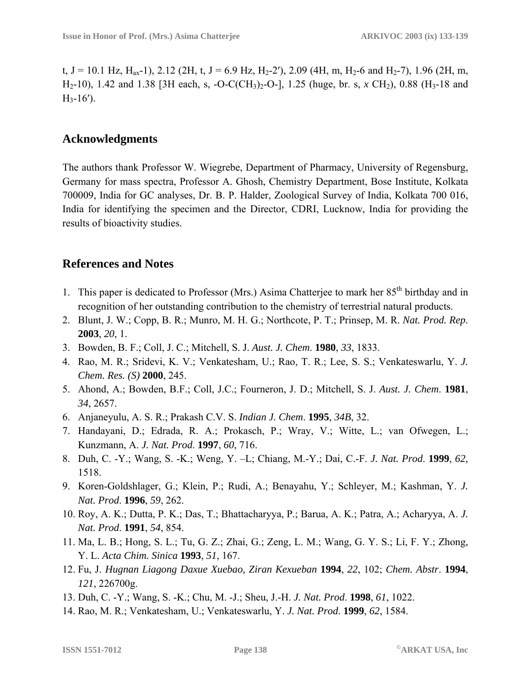t, J = 10.1 Hz, H<sub>ax</sub>-1), 2.12 (2H, t, J = 6.9 Hz, H<sub>2</sub>-2'), 2.09 (4H, m, H<sub>2</sub>-6 and H<sub>2</sub>-7), 1.96 (2H, m, H<sub>2</sub>-10), 1.42 and 1.38 [3H each, s, -O-C(CH<sub>3</sub>)<sub>2</sub>-O-], 1.25 (huge, br. s, *x* CH<sub>2</sub>), 0.88 (H<sub>3</sub>-18 and  $H_3-16'$ ).

## **Acknowledgments**

The authors thank Professor W. Wiegrebe, Department of Pharmacy, University of Regensburg, Germany for mass spectra, Professor A. Ghosh, Chemistry Department, Bose Institute, Kolkata 700009, India for GC analyses, Dr. B. P. Halder, Zoological Survey of India, Kolkata 700 016, India for identifying the specimen and the Director, CDRI, Lucknow, India for providing the results of bioactivity studies.

## **References and Notes**

- 1. This paper is dedicated to Professor (Mrs.) Asima Chatteriee to mark her 85<sup>th</sup> birthday and in recognition of her outstanding contribution to the chemistry of terrestrial natural products.
- 2. Blunt, J. W.; Copp, B. R.; Munro, M. H. G.; Northcote, P. T.; Prinsep, M. R. *Nat. Prod. Rep*. **2003**, *20*, 1.
- 3. Bowden, B. F.; Coll, J. C.; Mitchell, S. J. *Aust. J. Chem*. **1980**, *33*, 1833.
- 4. Rao, M. R.; Sridevi, K. V.; Venkatesham, U.; Rao, T. R.; Lee, S. S.; Venkateswarlu, Y. *J. Chem. Res. (S)* **2000**, 245.
- 5. Ahond, A.; Bowden, B.F.; Coll, J.C.; Fourneron, J. D.; Mitchell, S. J. *Aust. J. Chem*. **1981**, *34*, 2657.
- 6. Anjaneyulu, A. S. R.; Prakash C.V. S. *Indian J. Chem*. **1995**, *34B*, 32.
- 7. Handayani, D.; Edrada, R. A.; Prokasch, P.; Wray, V.; Witte, L.; van Ofwegen, L.; Kunzmann, A. *J. Nat. Prod*. **1997**, *60*, 716.
- 8. Duh, C. -Y.; Wang, S. -K.; Weng, Y. –L; Chiang, M.-Y.; Dai, C.-F. *J. Nat. Prod*. **1999**, *62*, 1518.
- 9. Koren-Goldshlager, G.; Klein, P.; Rudi, A.; Benayahu, Y.; Schleyer, M.; Kashman, Y. *J. Nat. Prod*. **1996**, *59*, 262.
- 10. Roy, A. K.; Dutta, P. K.; Das, T.; Bhattacharyya, P.; Barua, A. K.; Patra, A.; Acharyya, A. *J. Nat. Prod*. **1991**, *54*, 854.
- 11. Ma, L. B.; Hong, S. L.; Tu, G. Z.; Zhai, G.; Zeng, L. M.; Wang, G. Y. S.; Li, F. Y.; Zhong, Y. L. *Acta Chim. Sinica* **1993**, *51*, 167.
- 12. Fu, J. *Hugnan Liagong Daxue Xuebao, Ziran Kexueban* **1994**, *22*, 102; *Chem. Abstr*. **1994**, *121*, 226700g.
- 13. Duh, C. -Y.; Wang, S. -K.; Chu, M. -J.; Sheu, J.-H. *J. Nat. Prod*. **1998**, *61*, 1022.
- 14. Rao, M. R.; Venkatesham, U.; Venkateswarlu, Y. *J. Nat. Prod*. **1999**, *62*, 1584.